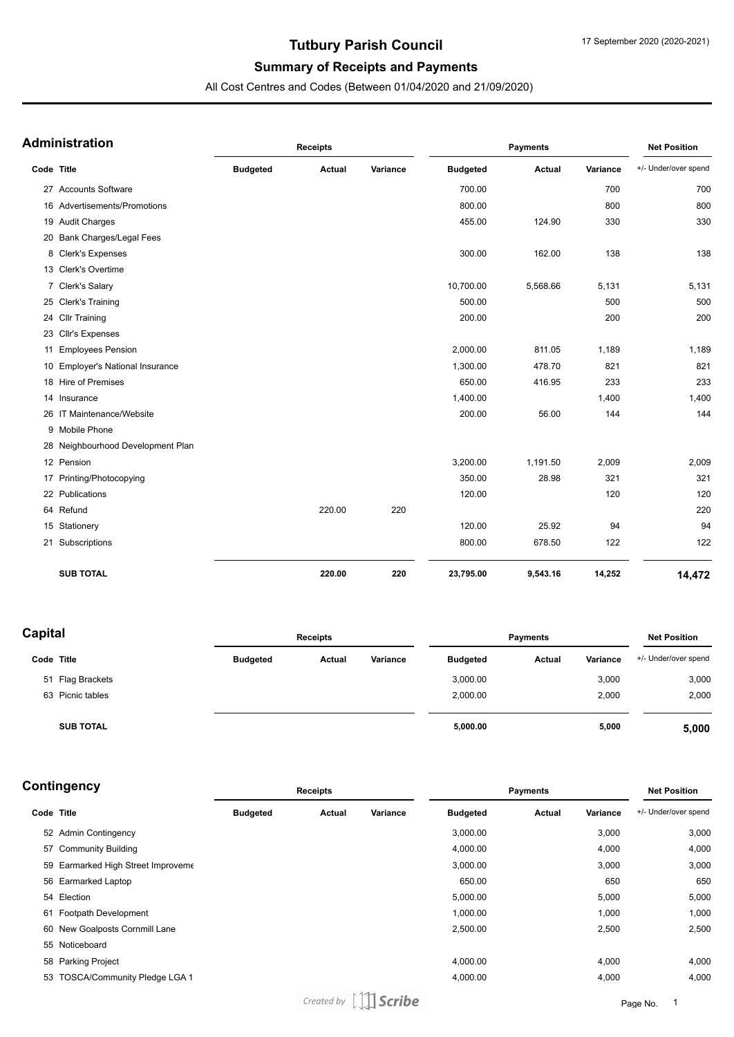# **Tutbury Parish Council**

## **Summary of Receipts and Payments**

All Cost Centres and Codes (Between 01/04/2020 and 21/09/2020)

| <b>Administration</b> |                                   | <b>Receipts</b> |               |          | <b>Payments</b> |               |          | <b>Net Position</b>  |  |
|-----------------------|-----------------------------------|-----------------|---------------|----------|-----------------|---------------|----------|----------------------|--|
| Code Title            |                                   | <b>Budgeted</b> | <b>Actual</b> | Variance | <b>Budgeted</b> | <b>Actual</b> | Variance | +/- Under/over spend |  |
|                       | 27 Accounts Software              |                 |               |          | 700.00          |               | 700      | 700                  |  |
|                       | 16 Advertisements/Promotions      |                 |               |          | 800.00          |               | 800      | 800                  |  |
|                       | 19 Audit Charges                  |                 |               |          | 455.00          | 124.90        | 330      | 330                  |  |
|                       | 20 Bank Charges/Legal Fees        |                 |               |          |                 |               |          |                      |  |
|                       | 8 Clerk's Expenses                |                 |               |          | 300.00          | 162.00        | 138      | 138                  |  |
|                       | 13 Clerk's Overtime               |                 |               |          |                 |               |          |                      |  |
|                       | 7 Clerk's Salary                  |                 |               |          | 10,700.00       | 5,568.66      | 5,131    | 5,131                |  |
|                       | 25 Clerk's Training               |                 |               |          | 500.00          |               | 500      | 500                  |  |
|                       | 24 Cllr Training                  |                 |               |          | 200.00          |               | 200      | 200                  |  |
|                       | 23 Cllr's Expenses                |                 |               |          |                 |               |          |                      |  |
| 11                    | <b>Employees Pension</b>          |                 |               |          | 2,000.00        | 811.05        | 1,189    | 1,189                |  |
|                       | 10 Employer's National Insurance  |                 |               |          | 1,300.00        | 478.70        | 821      | 821                  |  |
|                       | 18 Hire of Premises               |                 |               |          | 650.00          | 416.95        | 233      | 233                  |  |
|                       | 14 Insurance                      |                 |               |          | 1,400.00        |               | 1,400    | 1,400                |  |
|                       | 26 IT Maintenance/Website         |                 |               |          | 200.00          | 56.00         | 144      | 144                  |  |
|                       | 9 Mobile Phone                    |                 |               |          |                 |               |          |                      |  |
|                       | 28 Neighbourhood Development Plan |                 |               |          |                 |               |          |                      |  |
|                       | 12 Pension                        |                 |               |          | 3,200.00        | 1,191.50      | 2,009    | 2,009                |  |
|                       | 17 Printing/Photocopying          |                 |               |          | 350.00          | 28.98         | 321      | 321                  |  |
|                       | 22 Publications                   |                 |               |          | 120.00          |               | 120      | 120                  |  |
|                       | 64 Refund                         |                 | 220.00        | 220      |                 |               |          | 220                  |  |
|                       | 15 Stationery                     |                 |               |          | 120.00          | 25.92         | 94       | 94                   |  |
|                       | 21 Subscriptions                  |                 |               |          | 800.00          | 678.50        | 122      | 122                  |  |
|                       | <b>SUB TOTAL</b>                  |                 | 220.00        | 220      | 23,795.00       | 9,543.16      | 14,252   | 14.472               |  |

| Capital    |                  | <b>Receipts</b> |        |          | <b>Payments</b> |        |          | <b>Net Position</b>  |  |
|------------|------------------|-----------------|--------|----------|-----------------|--------|----------|----------------------|--|
| Code Title |                  | <b>Budgeted</b> | Actual | Variance | <b>Budgeted</b> | Actual | Variance | +/- Under/over spend |  |
|            | 51 Flag Brackets |                 |        |          | 3,000.00        |        | 3,000    | 3,000                |  |
|            | 63 Picnic tables |                 |        |          | 2,000.00        |        | 2,000    | 2,000                |  |
|            | <b>SUB TOTAL</b> |                 |        |          | 5,000.00        |        | 5,000    | 5,000                |  |

| <b>Receipts</b>                                                                                                                                                                                                                                                                                 |        | <b>Payments</b> |                 |        | <b>Net Position</b> |                      |
|-------------------------------------------------------------------------------------------------------------------------------------------------------------------------------------------------------------------------------------------------------------------------------------------------|--------|-----------------|-----------------|--------|---------------------|----------------------|
| <b>Budgeted</b>                                                                                                                                                                                                                                                                                 | Actual | Variance        | <b>Budgeted</b> | Actual | Variance            | +/- Under/over spend |
|                                                                                                                                                                                                                                                                                                 |        |                 | 3,000.00        |        | 3,000               | 3,000                |
|                                                                                                                                                                                                                                                                                                 |        |                 | 4,000.00        |        | 4,000               | 4,000                |
|                                                                                                                                                                                                                                                                                                 |        |                 | 3,000.00        |        | 3,000               | 3,000                |
|                                                                                                                                                                                                                                                                                                 |        |                 | 650.00          |        | 650                 | 650                  |
|                                                                                                                                                                                                                                                                                                 |        |                 | 5,000.00        |        | 5,000               | 5,000                |
|                                                                                                                                                                                                                                                                                                 |        |                 | 1,000.00        |        | 1,000               | 1,000                |
|                                                                                                                                                                                                                                                                                                 |        |                 | 2,500.00        |        | 2,500               | 2,500                |
|                                                                                                                                                                                                                                                                                                 |        |                 |                 |        |                     |                      |
|                                                                                                                                                                                                                                                                                                 |        |                 | 4,000.00        |        | 4,000               | 4,000                |
|                                                                                                                                                                                                                                                                                                 |        |                 | 4,000.00        |        | 4,000               | 4,000                |
| ∶ontingency<br>Code Title<br>52 Admin Contingency<br>57 Community Building<br>59 Earmarked High Street Improveme<br>56 Earmarked Laptop<br>54 Election<br>Footpath Development<br>60 New Goalposts Cornmill Lane<br>55 Noticeboard<br>58 Parking Project<br><b>TOSCA/Community Pledge LGA 1</b> |        |                 |                 |        |                     |                      |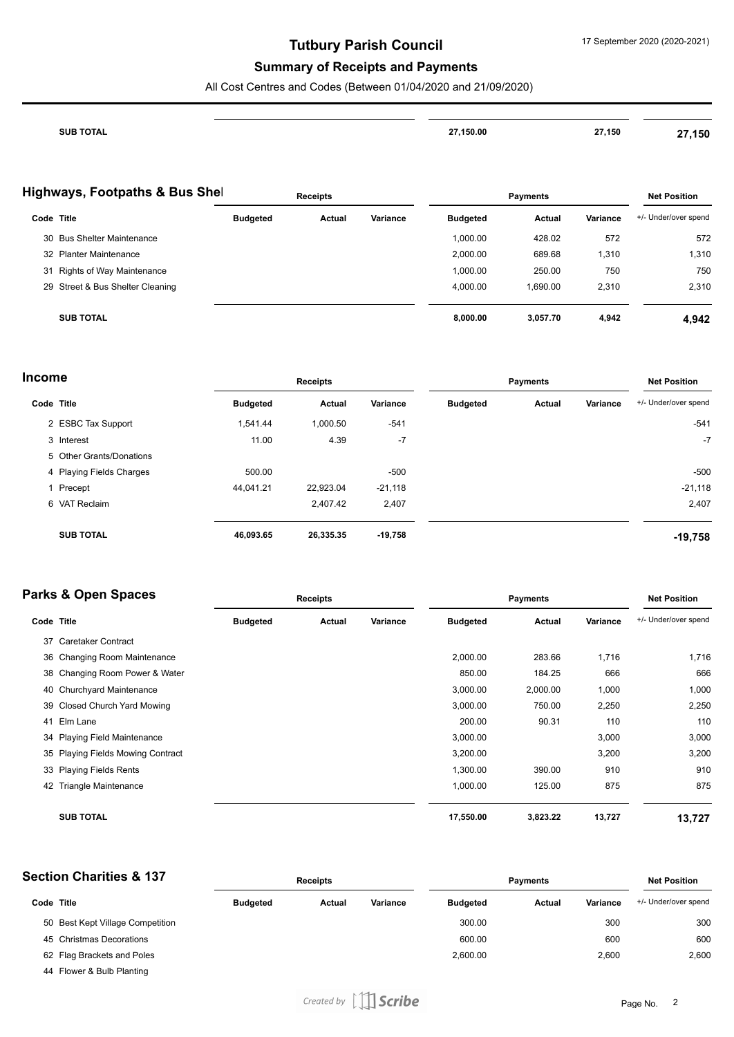## **Tutbury Parish Council**

### **Summary of Receipts and Payments**

All Cost Centres and Codes (Between 01/04/2020 and 21/09/2020)

| SUR TOTAL | 27.150.00<br>. | 27,150 | ,150<br><u>. на пример</u> |
|-----------|----------------|--------|----------------------------|
|           |                |        |                            |

#### **Highways, Footpaths & Bus Shell**

| $\frac{1}{2}$ liyiiways, Footpatris & Bus Sile |                 | <b>Receipts</b> |          |                 | <b>Payments</b> |          | <b>Net Position</b>  |
|------------------------------------------------|-----------------|-----------------|----------|-----------------|-----------------|----------|----------------------|
| Code Title                                     | <b>Budgeted</b> | Actual          | Variance | <b>Budgeted</b> | Actual          | Variance | +/- Under/over spend |
| 30 Bus Shelter Maintenance                     |                 |                 |          | 1.000.00        | 428.02          | 572      | 572                  |
| 32 Planter Maintenance                         |                 |                 |          | 2,000.00        | 689.68          | 1,310    | 1,310                |
| 31 Rights of Way Maintenance                   |                 |                 |          | 1,000.00        | 250.00          | 750      | 750                  |
| 29 Street & Bus Shelter Cleaning               |                 |                 |          | 4,000.00        | 1.690.00        | 2,310    | 2,310                |
| <b>SUB TOTAL</b>                               |                 |                 |          | 8,000.00        | 3,057.70        | 4,942    | 4.942                |

| Income     |                          |                 | <b>Receipts</b> |           |                 | <b>Payments</b> |          | <b>Net Position</b>  |
|------------|--------------------------|-----------------|-----------------|-----------|-----------------|-----------------|----------|----------------------|
| Code Title |                          | <b>Budgeted</b> | Actual          | Variance  | <b>Budgeted</b> | Actual          | Variance | +/- Under/over spend |
|            | 2 ESBC Tax Support       | 1.541.44        | 1,000.50        | $-541$    |                 |                 |          | $-541$               |
|            | 3 Interest               | 11.00           | 4.39            | $-7$      |                 |                 |          | $-7$                 |
|            | 5 Other Grants/Donations |                 |                 |           |                 |                 |          |                      |
|            | 4 Playing Fields Charges | 500.00          |                 | $-500$    |                 |                 |          | $-500$               |
|            | 1 Precept                | 44.041.21       | 22,923.04       | $-21,118$ |                 |                 |          | $-21,118$            |
|            | 6 VAT Reclaim            |                 | 2,407.42        | 2,407     |                 |                 |          | 2,407                |
|            | <b>SUB TOTAL</b>         | 46,093.65       | 26,335.35       | $-19,758$ |                 |                 |          | $-19,758$            |

## **Parks & Open Spaces Code Title Budgeted Actual Variance Receipts Payments Net Position Budgeted Actual Variance** +/- Under/over spend 37 Caretaker Contract 36 Changing Room Maintenance 2,000.00 283.66 1,716 1,716 38 Changing Room Power & Water 850.00 184.25 666 666 40 Churchyard Maintenance 3,000.00 2,000.00 1,000 1,000 39 Closed Church Yard Mowing 3,000.00 750.00 2,250 2,250 41 Elm Lane 200.00 90.31 110 110 34 Playing Field Maintenance 3,000 3,000 3,000 3,000 3,000 3,000 3,000 3,000 3,000 35 Playing Fields Mowing Contract 3,200.00 3,200 3,200 33 Playing Fields Rents 1,300.00 390.00 910 910 42 Triangle Maintenance 1,000.00 125.00 875 875 **SUB TOTAL 17,550.00 3,823.22 13,727 13,727**

| <b>Section Charities &amp; 137</b> |                                  | <b>Receipts</b> |        | <b>Payments</b> |                 |        | <b>Net Position</b> |                      |
|------------------------------------|----------------------------------|-----------------|--------|-----------------|-----------------|--------|---------------------|----------------------|
| Code Title                         |                                  | <b>Budgeted</b> | Actual | Variance        | <b>Budgeted</b> | Actual | Variance            | +/- Under/over spend |
|                                    | 50 Best Kept Village Competition |                 |        |                 | 300.00          |        | 300                 | 300                  |
|                                    | 45 Christmas Decorations         |                 |        |                 | 600.00          |        | 600                 | 600                  |
|                                    | 62 Flag Brackets and Poles       |                 |        |                 | 2,600.00        |        | 2.600               | 2,600                |
|                                    | 44 Flower & Bulb Planting        |                 |        |                 |                 |        |                     |                      |